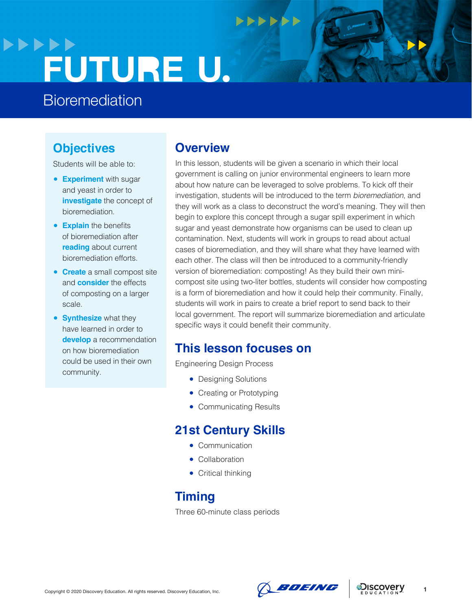## **>>>>>> FUTURE U.**

## **Bioremediation**

## **Objectives**

Students will be able to:

- **Experiment** with sugar and yeast in order to **investigate** the concept of bioremediation.
- **Explain** the benefits of bioremediation after **reading** about current bioremediation efforts.
- **Create** a small compost site and **consider** the effects of composting on a larger scale.
- **Synthesize** what they have learned in order to **develop** a recommendation on how bioremediation could be used in their own community.

### **Overview**

In this lesson, students will be given a scenario in which their local government is calling on junior environmental engineers to learn more about how nature can be leveraged to solve problems. To kick off their investigation, students will be introduced to the term *bioremediation*, and they will work as a class to deconstruct the word's meaning. They will then begin to explore this concept through a sugar spill experiment in which sugar and yeast demonstrate how organisms can be used to clean up contamination. Next, students will work in groups to read about actual cases of bioremediation, and they will share what they have learned with each other. The class will then be introduced to a community-friendly version of bioremediation: composting! As they build their own minicompost site using two-liter bottles, students will consider how composting is a form of bioremediation and how it could help their community. Finally, students will work in pairs to create a brief report to send back to their local government. The report will summarize bioremediation and articulate specific ways it could benefit their community.

**NNNNNN** 

## **This lesson focuses on**

Engineering Design Process

- Designing Solutions
- Creating or Prototyping
- Communicating Results

## **21st Century Skills**

- Communication
- Collaboration
- Critical thinking

## **Timing**

Three 60-minute class periods





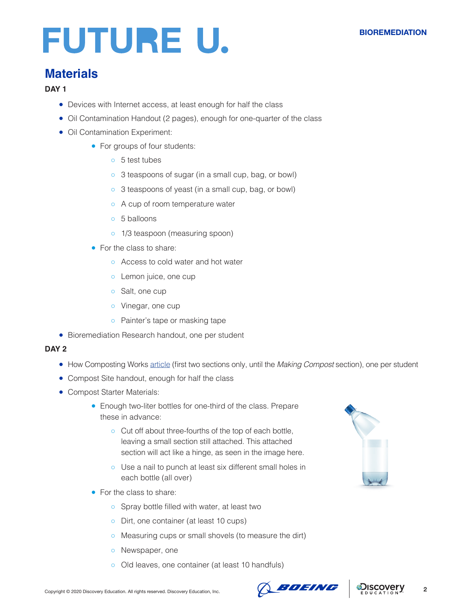## **Materials**

#### **DAY 1**

- Devices with Internet access, at least enough for half the class
- Oil Contamination Handout (2 pages), enough for one-quarter of the class
- Oil Contamination Experiment:
	- For groups of four students:
		- 5 test tubes
		- 3 teaspoons of sugar (in a small cup, bag, or bowl)
		- 3 teaspoons of yeast (in a small cup, bag, or bowl)
		- A cup of room temperature water
		- 5 balloons
		- o 1/3 teaspoon (measuring spoon)
	- For the class to share:
		- Access to cold water and hot water
		- o Lemon juice, one cup
		- Salt, one cup
		- Vinegar, one cup
		- Painter's tape or masking tape
- Bioremediation Research handout, one per student

#### **DAY 2**

- How Composting Works [article](https://home.howstuffworks.com/composting.htm) (first two sections only, until the *Making Compost* section), one per student
- Compost Site handout, enough for half the class
- Compost Starter Materials:
	- Enough two-liter bottles for one-third of the class. Prepare these in advance:
		- Cut off about three-fourths of the top of each bottle, leaving a small section still attached. This attached section will act like a hinge, as seen in the image here.
		- Use a nail to punch at least six different small holes in each bottle (all over)
	- For the class to share:
		- Spray bottle filled with water, at least two
		- Dirt, one container (at least 10 cups)
		- Measuring cups or small shovels (to measure the dirt)
		- Newspaper, one
		- Old leaves, one container (at least 10 handfuls)



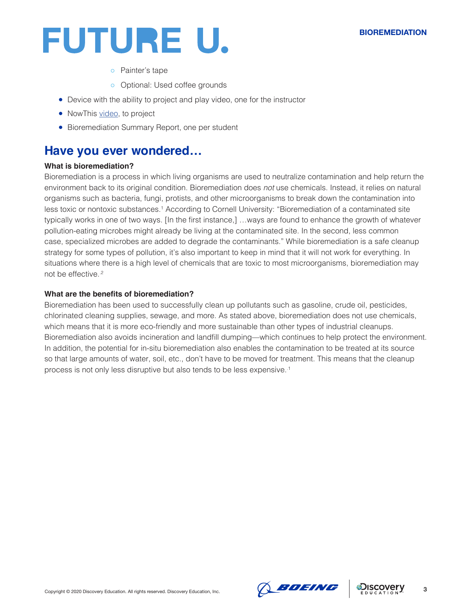#### **BIOREMEDIATION**



- Painter's tape
- Optional: Used coffee grounds
- Device with the ability to project and play video, one for the instructor
- NowThis [video](https://www.youtube.com/watch?v=XfuJJNGuS0Q&t=264s), to project
- Bioremediation Summary Report, one per student

### **Have you ever wondered…**

#### **What is bioremediation?**

Bioremediation is a process in which living organisms are used to neutralize contamination and help return the environment back to its original condition. Bioremediation does *not* use chemicals. Instead, it relies on natural organisms such as bacteria, fungi, protists, and other microorganisms to break down the contamination into less toxic or nontoxic substances.<sup>1</sup> According to Cornell University: "Bioremediation of a contaminated site typically works in one of two ways. [In the first instance,] …ways are found to enhance the growth of whatever pollution-eating microbes might already be living at the contaminated site. In the second, less common case, specialized microbes are added to degrade the contaminants." While bioremediation is a safe cleanup strategy for some types of pollution, it's also important to keep in mind that it will not work for everything. In situations where there is a high level of chemicals that are toxic to most microorganisms, bioremediation may not be effective..2

#### **What are the benefits of bioremediation?**

Bioremediation has been used to successfully clean up pollutants such as gasoline, crude oil, pesticides, chlorinated cleaning supplies, sewage, and more. As stated above, bioremediation does not use chemicals, which means that it is more eco-friendly and more sustainable than other types of industrial cleanups. Bioremediation also avoids incineration and landfill dumping—which continues to help protect the environment. In addition, the potential for in-situ bioremediation also enables the contamination to be treated at its source so that large amounts of water, soil, etc., don't have to be moved for treatment. This means that the cleanup process is not only less disruptive but also tends to be less expensive..1



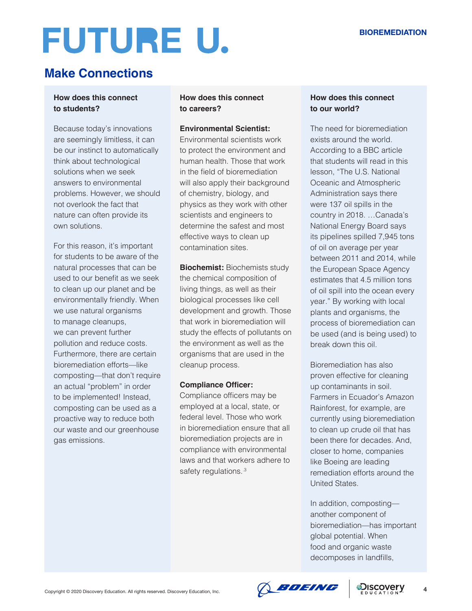## **Make Connections**

#### **How does this connect to students?**

Because today's innovations are seemingly limitless, it can be our instinct to automatically think about technological solutions when we seek answers to environmental problems. However, we should not overlook the fact that nature can often provide its own solutions.

For this reason, it's important for students to be aware of the natural processes that can be used to our benefit as we seek to clean up our planet and be environmentally friendly. When we use natural organisms to manage cleanups, we can prevent further pollution and reduce costs. Furthermore, there are certain bioremediation efforts—like composting—that don't require an actual "problem" in order to be implemented! Instead, composting can be used as a proactive way to reduce both our waste and our greenhouse gas emissions.

#### **How does this connect to careers?**

#### **Environmental Scientist:**

Environmental scientists work to protect the environment and human health. Those that work in the field of bioremediation will also apply their background of chemistry, biology, and physics as they work with other scientists and engineers to determine the safest and most effective ways to clean up contamination sites.

**Biochemist:** Biochemists study the chemical composition of living things, as well as their biological processes like cell development and growth. Those that work in bioremediation will study the effects of pollutants on the environment as well as the organisms that are used in the cleanup process.

#### **Compliance Officer:**

Compliance officers may be employed at a local, state, or federal level. Those who work in bioremediation ensure that all bioremediation projects are in compliance with environmental laws and that workers adhere to safety regulations.<sup>3</sup>

#### **How does this connect to our world?**

The need for bioremediation exists around the world. According to a BBC article that students will read in this lesson, "The U.S. National Oceanic and Atmospheric Administration says there were 137 oil spills in the country in 2018. …Canada's National Energy Board says its pipelines spilled 7,945 tons of oil on average per year between 2011 and 2014, while the European Space Agency estimates that 4.5 million tons of oil spill into the ocean every year." By working with local plants and organisms, the process of bioremediation can be used (and is being used) to break down this oil.

Bioremediation has also proven effective for cleaning up contaminants in soil. Farmers in Ecuador's Amazon Rainforest, for example, are currently using bioremediation to clean up crude oil that has been there for decades. And, closer to home, companies like Boeing are leading remediation efforts around the United States.

In addition, composting another component of bioremediation—has important global potential. When food and organic waste decomposes in landfills,

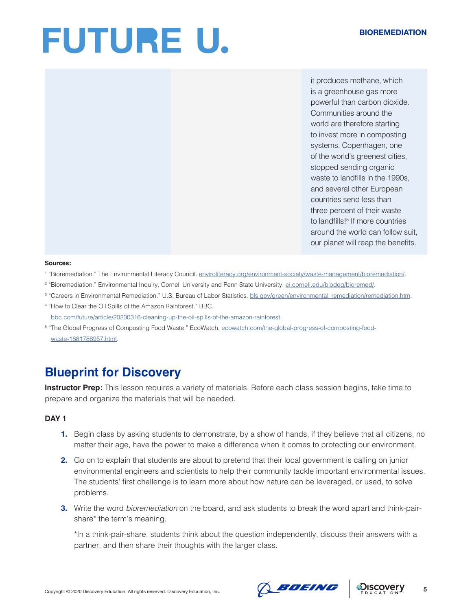it produces methane, which is a greenhouse gas more powerful than carbon dioxide. Communities around the world are therefore starting to invest more in composting systems. Copenhagen, one of the world's greenest cities, stopped sending organic waste to landfills in the 1990s, and several other European countries send less than three percent of their waste to landfills!<sup>5</sup> If more countries around the world can follow suit, our planet will reap the benefits.

#### **Sources:**

- <sup>1</sup> "Bioremediation." The Environmental Literacy Council. [enviroliteracy.org/environment-society/waste-management/bioremediation/.](http://enviroliteracy.org/environment-society/waste-management/bioremediation/)
- <sup>2</sup> "Bioremediation." Environmental Inquiry, Cornell University and Penn State University. <u>[ei.cornell.edu/biodeg/bioremed/](http://ei.cornell.edu/biodeg/bioremed/)</u>.
- <sup>3</sup> "Careers in Environmental Remediation." U.S. Bureau of Labor Statistics. [bls.gov/green/environmental\\_remediation/remediation.htm](http://bls.gov/green/environmental_remediation/remediation.htm).
- 4 "How to Clear the Oil Spills of the Amazon Rainforest." BBC. [bbc.com/future/article/20200316-cleaning-up-the-oil-spills-of-the-amazon-rainforest.](http://bbc.com/future/article/20200316-cleaning-up-the-oil-spills-of-the-amazon-rainforest)
- <sup>5</sup> "The Global Progress of Composting Food Waste." EcoWatch. [ecowatch.com/the-global-progress-of-composting-food](http://ecowatch.com/the-global-progress-of-composting-food-waste-1881788957.html)[waste-1881788957.html](http://ecowatch.com/the-global-progress-of-composting-food-waste-1881788957.html).

## **Blueprint for Discovery**

**Instructor Prep:** This lesson requires a variety of materials. Before each class session begins, take time to prepare and organize the materials that will be needed.

#### **DAY 1**

- **1.** Begin class by asking students to demonstrate, by a show of hands, if they believe that all citizens, no matter their age, have the power to make a difference when it comes to protecting our environment.
- **2.** Go on to explain that students are about to pretend that their local government is calling on junior environmental engineers and scientists to help their community tackle important environmental issues. The students' first challenge is to learn more about how nature can be leveraged, or used, to solve problems.
- **3.** Write the word *bioremediation* on the board, and ask students to break the word apart and think-pairshare\* the term's meaning.

\*In a think-pair-share, students think about the question independently, discuss their answers with a partner, and then share their thoughts with the larger class.



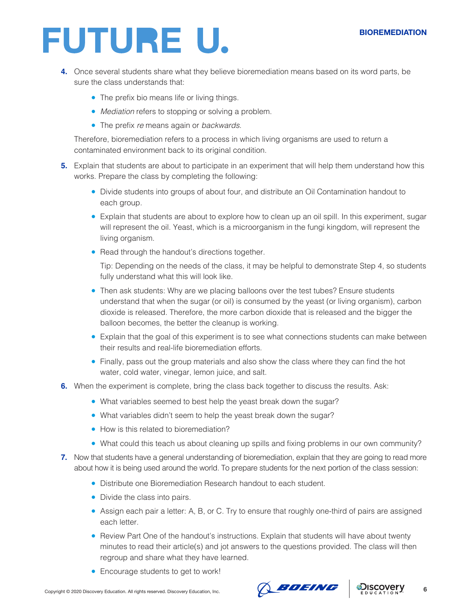#### **BIOREMEDIATION**

## **FUTURE U.**

- **4.** Once several students share what they believe bioremediation means based on its word parts, be sure the class understands that:
	- The prefix bio means life or living things.
	- *Mediation* refers to stopping or solving a problem.
	- The prefix *re* means again or *backwards.*

Therefore, bioremediation refers to a process in which living organisms are used to return a contaminated environment back to its original condition.

- **5.** Explain that students are about to participate in an experiment that will help them understand how this works. Prepare the class by completing the following:
	- Divide students into groups of about four, and distribute an Oil Contamination handout to each group.
	- Explain that students are about to explore how to clean up an oil spill. In this experiment, sugar will represent the oil. Yeast, which is a microorganism in the fungi kingdom, will represent the living organism.
	- Read through the handout's directions together.

Tip: Depending on the needs of the class, it may be helpful to demonstrate Step 4, so students fully understand what this will look like.

- Then ask students: Why are we placing balloons over the test tubes? Ensure students understand that when the sugar (or oil) is consumed by the yeast (or living organism), carbon dioxide is released. Therefore, the more carbon dioxide that is released and the bigger the balloon becomes, the better the cleanup is working.
- Explain that the goal of this experiment is to see what connections students can make between their results and real-life bioremediation efforts.
- Finally, pass out the group materials and also show the class where they can find the hot water, cold water, vinegar, lemon juice, and salt.
- **6.** When the experiment is complete, bring the class back together to discuss the results. Ask:
	- What variables seemed to best help the yeast break down the sugar?
	- What variables didn't seem to help the yeast break down the sugar?
	- How is this related to bioremediation?
	- What could this teach us about cleaning up spills and fixing problems in our own community?
- **7.** Now that students have a general understanding of bioremediation, explain that they are going to read more about how it is being used around the world. To prepare students for the next portion of the class session:
	- Distribute one Bioremediation Research handout to each student.
	- Divide the class into pairs.
	- Assign each pair a letter: A, B, or C. Try to ensure that roughly one-third of pairs are assigned each letter.
	- Review Part One of the handout's instructions. Explain that students will have about twenty minutes to read their article(s) and jot answers to the questions provided. The class will then regroup and share what they have learned.
	- Encourage students to get to work!



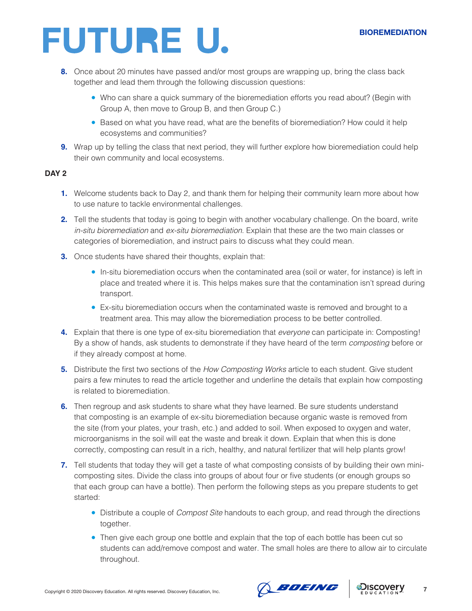#### **BIOREMEDIATION**

## **FUTURE U.**

- **8.** Once about 20 minutes have passed and/or most groups are wrapping up, bring the class back together and lead them through the following discussion questions:
	- Who can share a quick summary of the bioremediation efforts you read about? (Begin with Group A, then move to Group B, and then Group C.)
	- Based on what you have read, what are the benefits of bioremediation? How could it help ecosystems and communities?
- **9.** Wrap up by telling the class that next period, they will further explore how bioremediation could help their own community and local ecosystems.

#### **DAY 2**

- **1.** Welcome students back to Day 2, and thank them for helping their community learn more about how to use nature to tackle environmental challenges.
- **2.** Tell the students that today is going to begin with another vocabulary challenge. On the board, write *in-situ bioremediation* and *ex-situ bioremediation*. Explain that these are the two main classes or categories of bioremediation, and instruct pairs to discuss what they could mean.
- **3.** Once students have shared their thoughts, explain that:
	- In-situ bioremediation occurs when the contaminated area (soil or water, for instance) is left in place and treated where it is. This helps makes sure that the contamination isn't spread during transport.
	- Ex-situ bioremediation occurs when the contaminated waste is removed and brought to a treatment area. This may allow the bioremediation process to be better controlled.
- **4.** Explain that there is one type of ex-situ bioremediation that *everyone* can participate in: Composting! By a show of hands, ask students to demonstrate if they have heard of the term *composting* before or if they already compost at home.
- **5.** Distribute the first two sections of the *How Composting Works* article to each student. Give student pairs a few minutes to read the article together and underline the details that explain how composting is related to bioremediation.
- **6.** Then regroup and ask students to share what they have learned. Be sure students understand that composting is an example of ex-situ bioremediation because organic waste is removed from the site (from your plates, your trash, etc.) and added to soil. When exposed to oxygen and water, microorganisms in the soil will eat the waste and break it down. Explain that when this is done correctly, composting can result in a rich, healthy, and natural fertilizer that will help plants grow!
- **7.** Tell students that today they will get a taste of what composting consists of by building their own minicomposting sites. Divide the class into groups of about four or five students (or enough groups so that each group can have a bottle). Then perform the following steps as you prepare students to get started:
	- Distribute a couple of *Compost Site* handouts to each group, and read through the directions together.
	- Then give each group one bottle and explain that the top of each bottle has been cut so students can add/remove compost and water. The small holes are there to allow air to circulate throughout.



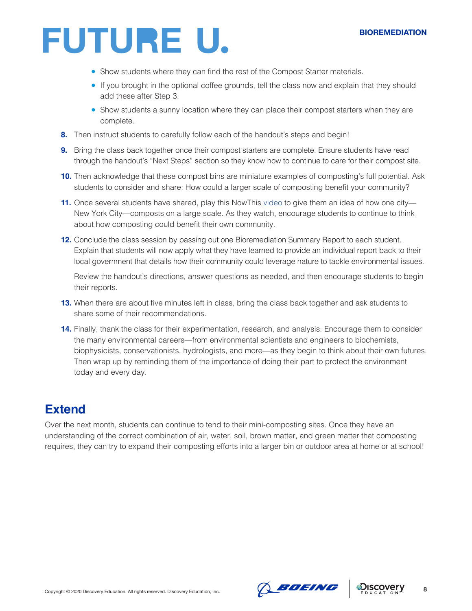- Show students where they can find the rest of the Compost Starter materials.
- If you brought in the optional coffee grounds, tell the class now and explain that they should add these after Step 3.
- Show students a sunny location where they can place their compost starters when they are complete.
- **8.** Then instruct students to carefully follow each of the handout's steps and begin!
- **9.** Bring the class back together once their compost starters are complete. Ensure students have read through the handout's "Next Steps" section so they know how to continue to care for their compost site.
- **10.** Then acknowledge that these compost bins are miniature examples of composting's full potential. Ask students to consider and share: How could a larger scale of composting benefit your community?
- **11.** Once several students have shared, play this NowThis [video](https://www.youtube.com/watch?v=XfuJJNGuS0Q&t=264s) to give them an idea of how one city— New York City—composts on a large scale. As they watch, encourage students to continue to think about how composting could benefit their own community.
- **12.** Conclude the class session by passing out one Bioremediation Summary Report to each student. Explain that students will now apply what they have learned to provide an individual report back to their local government that details how their community could leverage nature to tackle environmental issues.

Review the handout's directions, answer questions as needed, and then encourage students to begin their reports.

- **13.** When there are about five minutes left in class, bring the class back together and ask students to share some of their recommendations.
- **14.** Finally, thank the class for their experimentation, research, and analysis. Encourage them to consider the many environmental careers—from environmental scientists and engineers to biochemists, biophysicists, conservationists, hydrologists, and more—as they begin to think about their own futures. Then wrap up by reminding them of the importance of doing their part to protect the environment today and every day.

## **Extend**

Over the next month, students can continue to tend to their mini-composting sites. Once they have an understanding of the correct combination of air, water, soil, brown matter, and green matter that composting requires, they can try to expand their composting efforts into a larger bin or outdoor area at home or at school!



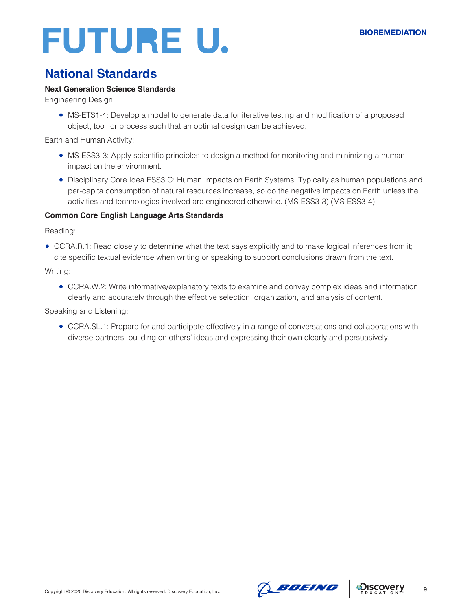## **National Standards**

#### **Next Generation Science Standards**

Engineering Design

• MS-ETS1-4: Develop a model to generate data for iterative testing and modification of a proposed object, tool, or process such that an optimal design can be achieved.

Earth and Human Activity:

- MS-ESS3-3: Apply scientific principles to design a method for monitoring and minimizing a human impact on the environment.
- Disciplinary Core Idea ESS3.C: Human Impacts on Earth Systems: Typically as human populations and per-capita consumption of natural resources increase, so do the negative impacts on Earth unless the activities and technologies involved are engineered otherwise. (MS-ESS3-3) (MS-ESS3-4)

#### **Common Core English Language Arts Standards**

Reading:

• CCRA.R.1: Read closely to determine what the text says explicitly and to make logical inferences from it; cite specific textual evidence when writing or speaking to support conclusions drawn from the text.

Writing:

• CCRA.W.2: Write informative/explanatory texts to examine and convey complex ideas and information clearly and accurately through the effective selection, organization, and analysis of content.

Speaking and Listening:

● CCRA.SL.1: Prepare for and participate effectively in a range of conversations and collaborations with diverse partners, building on others' ideas and expressing their own clearly and persuasively.





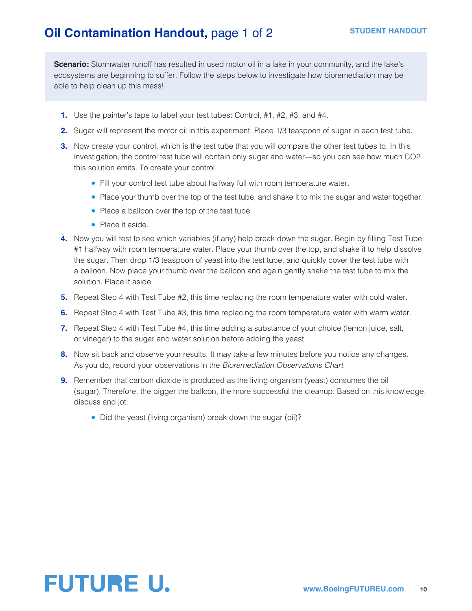## **Oil Contamination Handout, page 1 of 2**

**Scenario:** Stormwater runoff has resulted in used motor oil in a lake in your community, and the lake's ecosystems are beginning to suffer. Follow the steps below to investigate how bioremediation may be able to help clean up this mess!

- **1.** Use the painter's tape to label your test tubes: Control, #1, #2, #3, and #4.
- **2.** Sugar will represent the motor oil in this experiment. Place 1/3 teaspoon of sugar in each test tube.
- **3.** Now create your control, which is the test tube that you will compare the other test tubes to. In this investigation, the control test tube will contain only sugar and water—so you can see how much CO2 this solution emits. To create your control:
	- Fill your control test tube about halfway full with room temperature water.
	- Place your thumb over the top of the test tube, and shake it to mix the sugar and water together.
	- Place a balloon over the top of the test tube.
	- Place it aside.
- **4.** Now you will test to see which variables (if any) help break down the sugar. Begin by filling Test Tube #1 halfway with room temperature water. Place your thumb over the top, and shake it to help dissolve the sugar. Then drop 1/3 teaspoon of yeast into the test tube, and quickly cover the test tube with a balloon. Now place your thumb over the balloon and again gently shake the test tube to mix the solution. Place it aside.
- **5.** Repeat Step 4 with Test Tube #2, this time replacing the room temperature water with cold water.
- **6.** Repeat Step 4 with Test Tube #3, this time replacing the room temperature water with warm water.
- **7.** Repeat Step 4 with Test Tube #4, this time adding a substance of your choice (lemon juice, salt, or vinegar) to the sugar and water solution before adding the yeast.
- **8.** Now sit back and observe your results. It may take a few minutes before you notice any changes. As you do, record your observations in the *Bioremediation Observations Chart*.
- **9.** Remember that carbon dioxide is produced as the living organism (yeast) consumes the oil (sugar). Therefore, the bigger the balloon, the more successful the cleanup. Based on this knowledge, discuss and jot:
	- Did the yeast (living organism) break down the sugar (oil)?

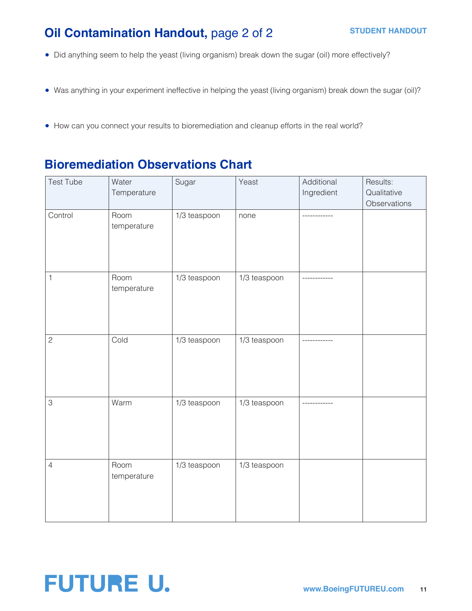## **Oil Contamination Handout, page 2 of 2**

- Did anything seem to help the yeast (living organism) break down the sugar (oil) more effectively?
- Was anything in your experiment ineffective in helping the yeast (living organism) break down the sugar (oil)?
- How can you connect your results to bioremediation and cleanup efforts in the real world?

## **Bioremediation Observations Chart**

| <b>Test Tube</b> | Water<br>Temperature | Sugar        | Yeast        | Additional<br>Ingredient | Results:<br>Qualitative<br>Observations |
|------------------|----------------------|--------------|--------------|--------------------------|-----------------------------------------|
| Control          | Room<br>temperature  | 1/3 teaspoon | none         |                          |                                         |
| 1                | Room<br>temperature  | 1/3 teaspoon | 1/3 teaspoon |                          |                                         |
| $\overline{c}$   | Cold                 | 1/3 teaspoon | 1/3 teaspoon |                          |                                         |
| 3                | Warm                 | 1/3 teaspoon | 1/3 teaspoon |                          |                                         |
| $\overline{4}$   | Room<br>temperature  | 1/3 teaspoon | 1/3 teaspoon |                          |                                         |

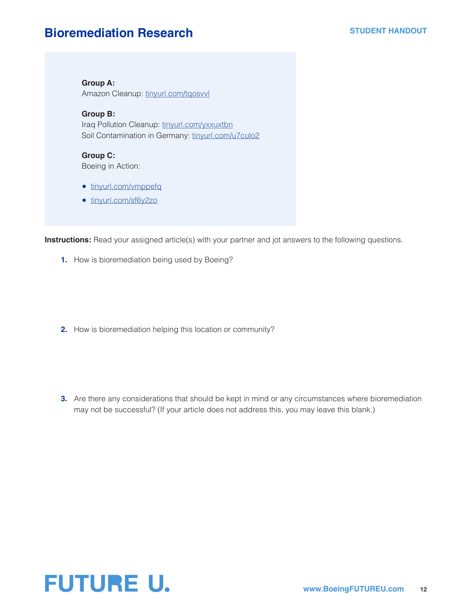### **Bioremediation Research**

**Group A:** Amazon Cleanup: [tinyurl.com/tqosvvl](http://tinyurl.com/tqosvvl)

**Group B:** Iraq Pollution Cleanup: [tinyurl.com/yxxuxtbn](http://tinyurl.com/yxxuxtbn) Soil Contamination in Germany: [tinyurl.com/u7culo2](http://tinyurl.com/u7culo2)

**Group C:** Boeing in Action:

- [tinyurl.com/vmppefq](http://tinyurl.com/vmppefq)
- [tinyurl.com/sf6y2zo](http://tinyurl.com/sf6y2zo)

**Instructions:** Read your assigned article(s) with your partner and jot answers to the following questions.

- **1.** How is bioremediation being used by Boeing?
- **2.** How is bioremediation helping this location or community?
- **3.** Are there any considerations that should be kept in mind or any circumstances where bioremediation may not be successful? (If your article does not address this, you may leave this blank.)

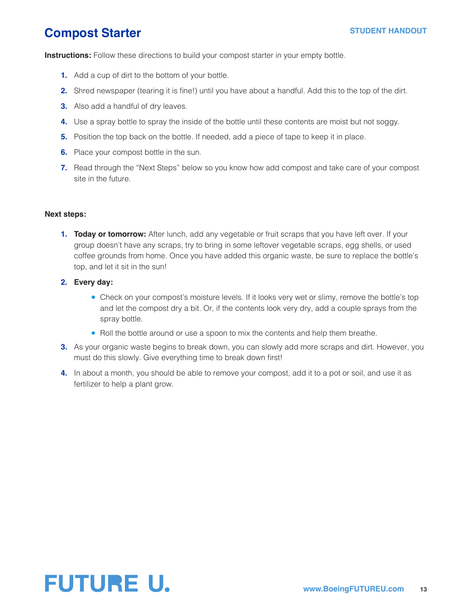## **Compost Starter**

**Instructions:** Follow these directions to build your compost starter in your empty bottle.

- **1.** Add a cup of dirt to the bottom of your bottle.
- **2.** Shred newspaper (tearing it is fine!) until you have about a handful. Add this to the top of the dirt.
- **3.** Also add a handful of dry leaves.
- **4.** Use a spray bottle to spray the inside of the bottle until these contents are moist but not soggy.
- **5.** Position the top back on the bottle. If needed, add a piece of tape to keep it in place.
- **6.** Place your compost bottle in the sun.
- **7.** Read through the "Next Steps" below so you know how add compost and take care of your compost site in the future.

#### **Next steps:**

- **1. Today or tomorrow:** After lunch, add any vegetable or fruit scraps that you have left over. If your group doesn't have any scraps, try to bring in some leftover vegetable scraps, egg shells, or used coffee grounds from home. Once you have added this organic waste, be sure to replace the bottle's top, and let it sit in the sun!
- **2. Every day:**
	- Check on your compost's moisture levels. If it looks very wet or slimy, remove the bottle's top and let the compost dry a bit. Or, if the contents look very dry, add a couple sprays from the spray bottle.
	- Roll the bottle around or use a spoon to mix the contents and help them breathe.
- **3.** As your organic waste begins to break down, you can slowly add more scraps and dirt. However, you must do this slowly. Give everything time to break down first!
- **4.** In about a month, you should be able to remove your compost, add it to a pot or soil, and use it as fertilizer to help a plant grow.